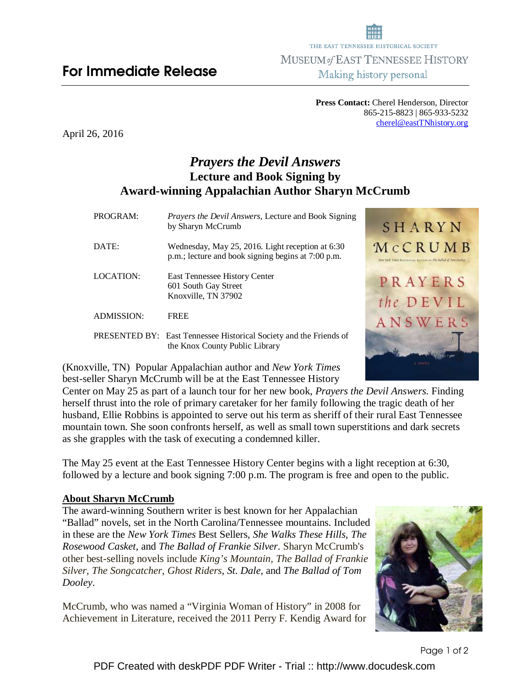**Press Contact:** Cherel Henderson, Director 865-215-8823 | 865-933-5232 cherel@eastTNhistory.org

April 26, 2016

# *Prayers the Devil Answers*  **Lecture and Book Signing by Award-winning Appalachian Author Sharyn McCrumb**

| PROGRAM:          | <i>Prayers the Devil Answers, Lecture and Book Signing</i><br>by Sharyn McCrumb                             | SHARYN                                                                   |
|-------------------|-------------------------------------------------------------------------------------------------------------|--------------------------------------------------------------------------|
| DATE:             | Wednesday, May 25, 2016. Light reception at 6:30<br>p.m.; lecture and book signing begins at 7:00 p.m.      | MCCRUMB<br>New York Times Bostonicson Autocount The Ballad of Tom Davies |
| LOCATION:         | East Tennessee History Center<br>601 South Gay Street<br>Knoxville, TN 37902                                | PRAYERS<br>the DEVIL                                                     |
| <b>ADMISSION:</b> | <b>FREE</b>                                                                                                 | ANSWERS                                                                  |
|                   | <b>PRESENTED BY:</b> East Tennessee Historical Society and the Friends of<br>the Knox County Public Library |                                                                          |

(Knoxville, TN) Popular Appalachian author and *New York Times* best-seller Sharyn McCrumb will be at the East Tennessee History

Center on May 25 as part of a launch tour for her new book, *Prayers the Devil Answers*. Finding herself thrust into the role of primary caretaker for her family following the tragic death of her husband, Ellie Robbins is appointed to serve out his term as sheriff of their rural East Tennessee mountain town. She soon confronts herself, as well as small town superstitions and dark secrets as she grapples with the task of executing a condemned killer.

The May 25 event at the East Tennessee History Center begins with a light reception at 6:30, followed by a lecture and book signing 7:00 p.m. The program is free and open to the public.

## **About Sharyn McCrumb**

The award-winning Southern writer is best known for her Appalachian "Ballad" novels, set in the North Carolina/Tennessee mountains. Included in these are the *New York Times* Best Sellers*, She Walks These Hills*, *The Rosewood Casket*, and *The Ballad of Frankie Silver*. Sharyn McCrumb's other best-selling novels include *King's Mountain*, *The Ballad of Frankie Silver*, *The Songcatcher*, *Ghost Riders*, *St. Dale*, and *The Ballad of Tom Dooley*.

McCrumb, who was named a "Virginia Woman of History" in 2008 for Achievement in Literature, received the 2011 Perry F. Kendig Award for